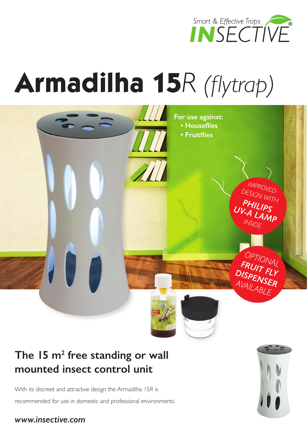

# **Armadilha 15***R (flytrap)*



### The 15 m<sup>2</sup> free standing or wall **mounted insect control unit**

With its discreet and attractive design the Armadilha 15*R* is recommended for use in domestic and professional environments.

### *www.insective.com*